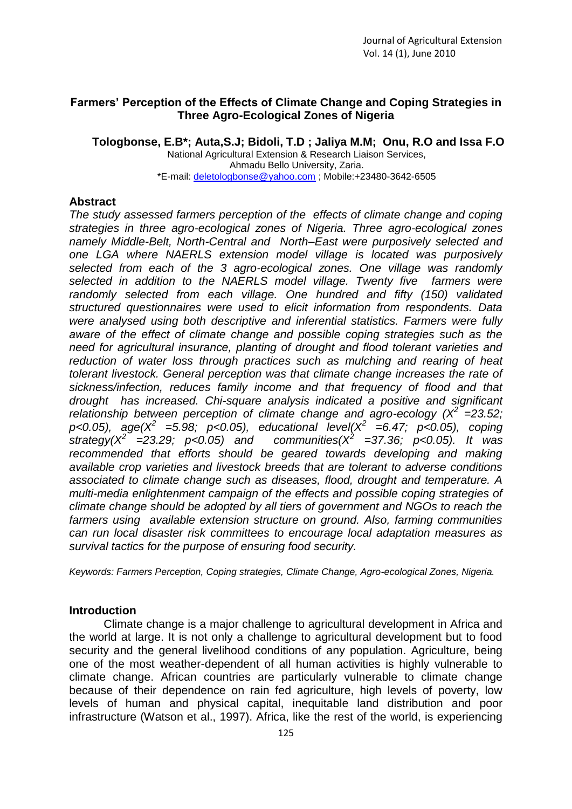# **Farmers' Perception of the Effects of Climate Change and Coping Strategies in Three Agro-Ecological Zones of Nigeria**

**Tologbonse, E.B\*; Auta,S.J; Bidoli, T.D ; Jaliya M.M; Onu, R.O and Issa F.O** National Agricultural Extension & Research Liaison Services, Ahmadu Bello University, Zaria. \*E-mail: [deletologbonse@yahoo.com](mailto:deletologbonse@yahoo.com) ; Mobile:+23480-3642-6505

### **Abstract**

*The study assessed farmers perception of the effects of climate change and coping strategies in three agro-ecological zones of Nigeria. Three agro-ecological zones namely Middle-Belt, North-Central and North–East were purposively selected and one LGA where NAERLS extension model village is located was purposively selected from each of the 3 agro-ecological zones. One village was randomly selected in addition to the NAERLS model village. Twenty five farmers were randomly selected from each village. One hundred and fifty (150) validated structured questionnaires were used to elicit information from respondents. Data were analysed using both descriptive and inferential statistics. Farmers were fully aware of the effect of climate change and possible coping strategies such as the need for agricultural insurance, planting of drought and flood tolerant varieties and reduction of water loss through practices such as mulching and rearing of heat tolerant livestock. General perception was that climate change increases the rate of sickness/infection, reduces family income and that frequency of flood and that drought has increased. Chi-square analysis indicated a positive and significant relationship between perception of climate change and agro-ecology (X<sup>2</sup> =23.52; p<0.05), age(X<sup>2</sup> =5.98; p<0.05), educational level(X<sup>2</sup> =6.47; p<0.05), coping*   $s$ *trategy(X<sup>2</sup>* = 23.29; p<0.05) and communities(X<sup>2</sup> = 37.36; p<0.05). It was *recommended that efforts should be geared towards developing and making available crop varieties and livestock breeds that are tolerant to adverse conditions associated to climate change such as diseases, flood, drought and temperature. A multi-media enlightenment campaign of the effects and possible coping strategies of climate change should be adopted by all tiers of government and NGOs to reach the farmers using available extension structure on ground. Also, farming communities can run local disaster risk committees to encourage local adaptation measures as survival tactics for the purpose of ensuring food security.*

*Keywords: Farmers Perception, Coping strategies, Climate Change, Agro-ecological Zones, Nigeria.*

### **Introduction**

Climate change is a major challenge to agricultural development in Africa and the world at large. It is not only a challenge to agricultural development but to food security and the general livelihood conditions of any population. Agriculture, being one of the most weather-dependent of all human activities is highly vulnerable to climate change. African countries are particularly vulnerable to climate change because of their dependence on rain fed agriculture, high levels of poverty, low levels of human and physical capital, inequitable land distribution and poor infrastructure (Watson et al., 1997). Africa, like the rest of the world, is experiencing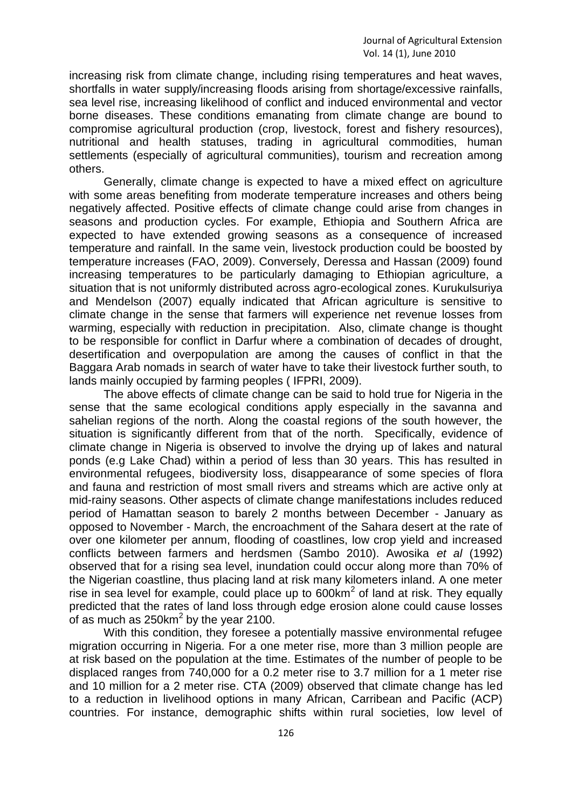increasing risk from climate change, including rising temperatures and heat waves, shortfalls in water supply/increasing floods arising from shortage/excessive rainfalls, sea level rise, increasing likelihood of conflict and induced environmental and vector borne diseases. These conditions emanating from climate change are bound to compromise agricultural production (crop, livestock, forest and fishery resources), nutritional and health statuses, trading in agricultural commodities, human settlements (especially of agricultural communities), tourism and recreation among others.

Generally, climate change is expected to have a mixed effect on agriculture with some areas benefiting from moderate temperature increases and others being negatively affected. Positive effects of climate change could arise from changes in seasons and production cycles. For example, Ethiopia and Southern Africa are expected to have extended growing seasons as a consequence of increased temperature and rainfall. In the same vein, livestock production could be boosted by temperature increases (FAO, 2009). Conversely, Deressa and Hassan (2009) found increasing temperatures to be particularly damaging to Ethiopian agriculture, a situation that is not uniformly distributed across agro-ecological zones. Kurukulsuriya and Mendelson (2007) equally indicated that African agriculture is sensitive to climate change in the sense that farmers will experience net revenue losses from warming, especially with reduction in precipitation. Also, climate change is thought to be responsible for conflict in Darfur where a combination of decades of drought, desertification and overpopulation are among the causes of conflict in that the Baggara Arab nomads in search of water have to take their livestock further south, to lands mainly occupied by farming peoples ( IFPRI, 2009).

The above effects of climate change can be said to hold true for Nigeria in the sense that the same ecological conditions apply especially in the savanna and sahelian regions of the north. Along the coastal regions of the south however, the situation is significantly different from that of the north. Specifically, evidence of climate change in Nigeria is observed to involve the drying up of lakes and natural ponds (e.g Lake Chad) within a period of less than 30 years. This has resulted in environmental refugees, biodiversity loss, disappearance of some species of flora and fauna and restriction of most small rivers and streams which are active only at mid-rainy seasons. Other aspects of climate change manifestations includes reduced period of Hamattan season to barely 2 months between December - January as opposed to November - March, the encroachment of the Sahara desert at the rate of over one kilometer per annum, flooding of coastlines, low crop yield and increased conflicts between farmers and herdsmen (Sambo 2010). Awosika *et al* (1992) observed that for a rising sea level, inundation could occur along more than 70% of the Nigerian coastline, thus placing land at risk many kilometers inland. A one meter rise in sea level for example, could place up to  $600 \text{km}^2$  of land at risk. They equally predicted that the rates of land loss through edge erosion alone could cause losses of as much as  $250$ km<sup>2</sup> by the year 2100.

With this condition, they foresee a potentially massive environmental refugee migration occurring in Nigeria. For a one meter rise, more than 3 million people are at risk based on the population at the time. Estimates of the number of people to be displaced ranges from 740,000 for a 0.2 meter rise to 3.7 million for a 1 meter rise and 10 million for a 2 meter rise. CTA (2009) observed that climate change has led to a reduction in livelihood options in many African, Carribean and Pacific (ACP) countries. For instance, demographic shifts within rural societies, low level of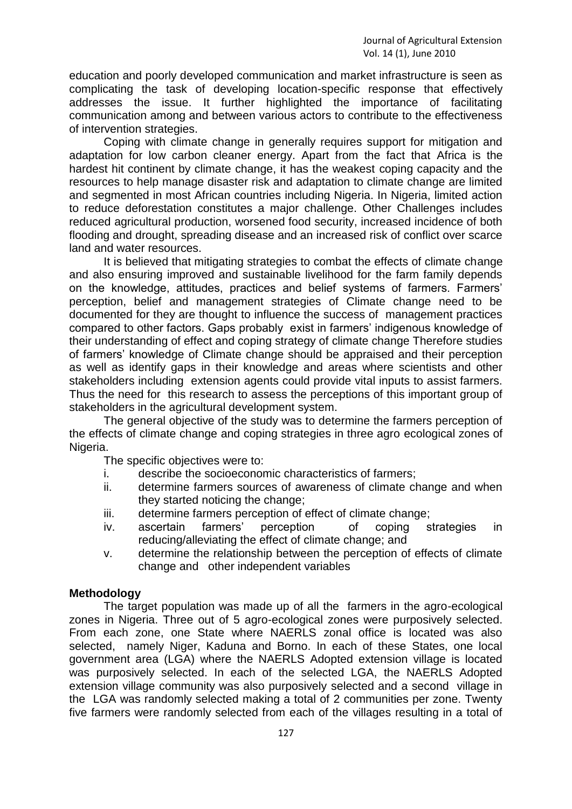education and poorly developed communication and market infrastructure is seen as complicating the task of developing location-specific response that effectively addresses the issue. It further highlighted the importance of facilitating communication among and between various actors to contribute to the effectiveness of intervention strategies.

Coping with climate change in generally requires support for mitigation and adaptation for low carbon cleaner energy. Apart from the fact that Africa is the hardest hit continent by climate change, it has the weakest coping capacity and the resources to help manage disaster risk and adaptation to climate change are limited and segmented in most African countries including Nigeria. In Nigeria, limited action to reduce deforestation constitutes a major challenge. Other Challenges includes reduced agricultural production, worsened food security, increased incidence of both flooding and drought, spreading disease and an increased risk of conflict over scarce land and water resources.

It is believed that mitigating strategies to combat the effects of climate change and also ensuring improved and sustainable livelihood for the farm family depends on the knowledge, attitudes, practices and belief systems of farmers. Farmers' perception, belief and management strategies of Climate change need to be documented for they are thought to influence the success of management practices compared to other factors. Gaps probably exist in farmers' indigenous knowledge of their understanding of effect and coping strategy of climate change Therefore studies of farmers' knowledge of Climate change should be appraised and their perception as well as identify gaps in their knowledge and areas where scientists and other stakeholders including extension agents could provide vital inputs to assist farmers. Thus the need for this research to assess the perceptions of this important group of stakeholders in the agricultural development system.

The general objective of the study was to determine the farmers perception of the effects of climate change and coping strategies in three agro ecological zones of Nigeria.

The specific objectives were to:

- i. describe the socioeconomic characteristics of farmers;
- ii. determine farmers sources of awareness of climate change and when they started noticing the change;
- iii. determine farmers perception of effect of climate change;
- iv. ascertain farmers' perception of coping strategies in reducing/alleviating the effect of climate change; and
- v. determine the relationship between the perception of effects of climate change and other independent variables

# **Methodology**

The target population was made up of all the farmers in the agro-ecological zones in Nigeria. Three out of 5 agro-ecological zones were purposively selected. From each zone, one State where NAERLS zonal office is located was also selected, namely Niger, Kaduna and Borno. In each of these States, one local government area (LGA) where the NAERLS Adopted extension village is located was purposively selected. In each of the selected LGA, the NAERLS Adopted extension village community was also purposively selected and a second village in the LGA was randomly selected making a total of 2 communities per zone. Twenty five farmers were randomly selected from each of the villages resulting in a total of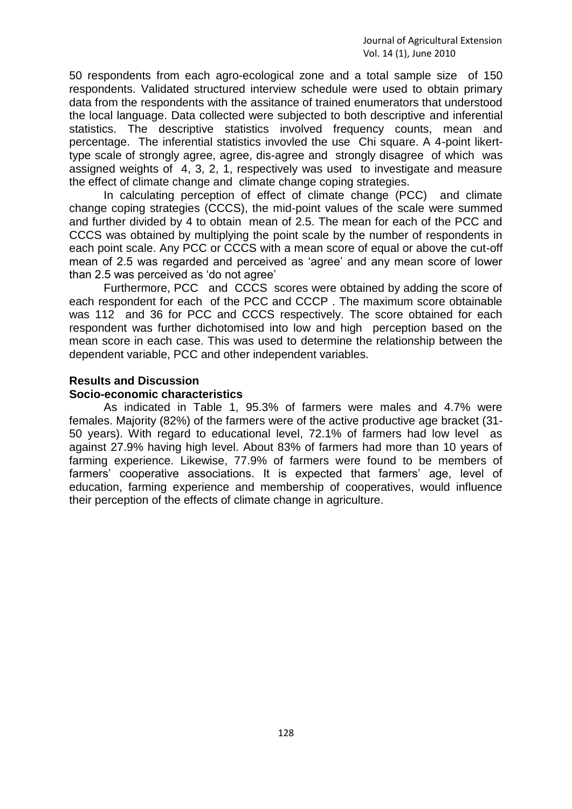Journal of Agricultural Extension Vol. 14 (1), June 2010

50 respondents from each agro-ecological zone and a total sample size of 150 respondents. Validated structured interview schedule were used to obtain primary data from the respondents with the assitance of trained enumerators that understood the local language. Data collected were subjected to both descriptive and inferential statistics. The descriptive statistics involved frequency counts, mean and percentage. The inferential statistics invovled the use Chi square. A 4-point likerttype scale of strongly agree, agree, dis-agree and strongly disagree of which was assigned weights of 4, 3, 2, 1, respectively was used to investigate and measure the effect of climate change and climate change coping strategies.

In calculating perception of effect of climate change (PCC) and climate change coping strategies (CCCS), the mid-point values of the scale were summed and further divided by 4 to obtain mean of 2.5. The mean for each of the PCC and CCCS was obtained by multiplying the point scale by the number of respondents in each point scale. Any PCC or CCCS with a mean score of equal or above the cut-off mean of 2.5 was regarded and perceived as 'agree' and any mean score of lower than 2.5 was perceived as 'do not agree'

Furthermore, PCC and CCCS scores were obtained by adding the score of each respondent for each of the PCC and CCCP . The maximum score obtainable was 112 and 36 for PCC and CCCS respectively. The score obtained for each respondent was further dichotomised into low and high perception based on the mean score in each case. This was used to determine the relationship between the dependent variable, PCC and other independent variables.

#### **Results and Discussion**

### **Socio-economic characteristics**

As indicated in Table 1, 95.3% of farmers were males and 4.7% were females. Majority (82%) of the farmers were of the active productive age bracket (31- 50 years). With regard to educational level, 72.1% of farmers had low level as against 27.9% having high level. About 83% of farmers had more than 10 years of farming experience. Likewise, 77.9% of farmers were found to be members of farmers' cooperative associations. It is expected that farmers' age, level of education, farming experience and membership of cooperatives, would influence their perception of the effects of climate change in agriculture.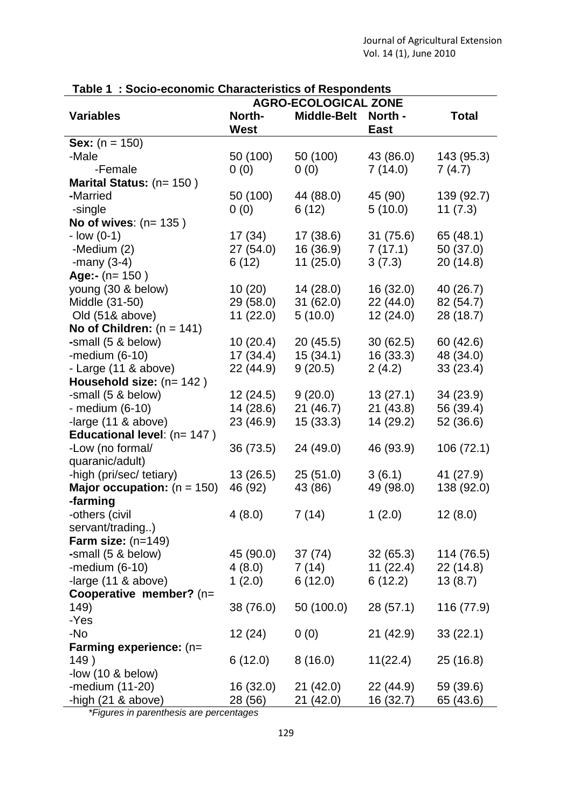| , , , , , , , , , , , , , ,<br><b>AGRO-ECOLOGICAL ZONE</b>              |              |  |  |  |  |  |  |
|-------------------------------------------------------------------------|--------------|--|--|--|--|--|--|
| <b>Middle-Belt</b><br><b>Variables</b><br>North-<br>North -             | <b>Total</b> |  |  |  |  |  |  |
| <b>West</b><br><b>East</b>                                              |              |  |  |  |  |  |  |
| <b>Sex:</b> $(n = 150)$                                                 |              |  |  |  |  |  |  |
| 50 (100)<br>50 (100)<br>43 (86.0)<br>-Male                              | 143 (95.3)   |  |  |  |  |  |  |
| -Female<br>0(0)<br>7 (14.0)<br>0(0)                                     | 7(4.7)       |  |  |  |  |  |  |
| Marital Status: (n= 150)                                                |              |  |  |  |  |  |  |
| 50 (100)<br>44 (88.0)<br>45 (90)<br>-Married                            | 139 (92.7)   |  |  |  |  |  |  |
| 5(10.0)<br>-single<br>0(0)<br>6(12)                                     | 11(7.3)      |  |  |  |  |  |  |
| No of wives: $(n=135)$                                                  |              |  |  |  |  |  |  |
| $-$ low $(0-1)$<br>17 (34)<br>31 (75.6)<br>17 (38.6)                    | 65 (48.1)    |  |  |  |  |  |  |
| -Medium (2)<br>27 (54.0)<br>16 (36.9) 7 (17.1)                          | 50 (37.0)    |  |  |  |  |  |  |
| -many $(3-4)$<br>6(12)<br>11 (25.0)<br>3(7.3)                           | 20(14.8)     |  |  |  |  |  |  |
| Age:- $(n=150)$                                                         |              |  |  |  |  |  |  |
| 10(20)<br>14 (28.0)<br>16 (32.0)<br>young (30 & below)                  | 40 (26.7)    |  |  |  |  |  |  |
| Middle (31-50)<br>29 (58.0)<br>31(62.0)<br>22 (44.0)                    | 82 (54.7)    |  |  |  |  |  |  |
| Old (51& above)<br>11 (22.0)<br>5(10.0)<br>12 (24.0)                    | 28 (18.7)    |  |  |  |  |  |  |
| No of Children: $(n = 141)$                                             |              |  |  |  |  |  |  |
| -small (5 & below)<br>10 (20.4)<br>30(62.5)<br>20(45.5)                 | 60 (42.6)    |  |  |  |  |  |  |
| -medium $(6-10)$<br>17 (34.4)<br>15 (34.1)<br>16 (33.3)                 | 48 (34.0)    |  |  |  |  |  |  |
| - Large (11 & above)<br>22 (44.9)<br>9(20.5)<br>2(4.2)                  | 33(23.4)     |  |  |  |  |  |  |
| Household size: $(n=142)$                                               |              |  |  |  |  |  |  |
| -small (5 & below)<br>12 (24.5)<br>9(20.0)<br>13(27.1)                  | 34 (23.9)    |  |  |  |  |  |  |
| - medium (6-10)<br>14 (28.6)<br>21 (46.7)<br>21 (43.8)                  | 56 (39.4)    |  |  |  |  |  |  |
| -large $(11 & above)$<br>23 (46.9)<br>15 (33.3)<br>14(29.2)             | 52 (36.6)    |  |  |  |  |  |  |
| Educational level: $(n=147)$                                            |              |  |  |  |  |  |  |
| -Low (no formal/<br>36 (73.5)<br>24 (49.0)<br>46 (93.9)                 | 106 (72.1)   |  |  |  |  |  |  |
| quaranic/adult)                                                         |              |  |  |  |  |  |  |
| -high (pri/sec/ tetiary)<br>13 (26.5)<br>25(51.0)<br>3(6.1)             | 41 (27.9)    |  |  |  |  |  |  |
| 49 (98.0)<br><b>Major occupation:</b> $(n = 150)$<br>46 (92)<br>43 (86) | 138 (92.0)   |  |  |  |  |  |  |
| -farming                                                                |              |  |  |  |  |  |  |
| -others (civil<br>4(8.0)<br>7 (14)<br>1(2.0)                            | 12(8.0)      |  |  |  |  |  |  |
| servant/trading)                                                        |              |  |  |  |  |  |  |
| Farm size: $(n=149)$                                                    |              |  |  |  |  |  |  |
| -small (5 & below)<br>45 (90.0)<br>37(74)<br>32(65.3)                   | 114 (76.5)   |  |  |  |  |  |  |
| -medium $(6-10)$<br>4(8.0)<br>7 (14)<br>11(22.4)                        | 22 (14.8)    |  |  |  |  |  |  |
| -large $(11 & above)$<br>1(2.0)<br>6(12.0)<br>6(12.2)                   | 13(8.7)      |  |  |  |  |  |  |
| Cooperative member? (n=                                                 |              |  |  |  |  |  |  |
| 50 (100.0)<br>149)<br>38 (76.0)<br>28(57.1)                             | 116 (77.9)   |  |  |  |  |  |  |
| -Yes                                                                    |              |  |  |  |  |  |  |
| -No<br>12 (24)<br>0(0)<br>21(42.9)                                      | 33(22.1)     |  |  |  |  |  |  |
| Farming experience: (n=                                                 |              |  |  |  |  |  |  |
| 6(12.0)<br>8(16.0)<br>11(22.4)<br>149)                                  | 25(16.8)     |  |  |  |  |  |  |
| -low $(10 \&$ below)                                                    |              |  |  |  |  |  |  |
| -medium (11-20)<br>16 (32.0)<br>21(42.0)<br>22 (44.9)                   | 59 (39.6)    |  |  |  |  |  |  |
| -high $(21 & above)$<br>28 (56)<br>21(42.0)<br>16 (32.7)                | 65 (43.6)    |  |  |  |  |  |  |

**Table 1 : Socio-economic Characteristics of Respondents**

*\*Figures in parenthesis are percentages*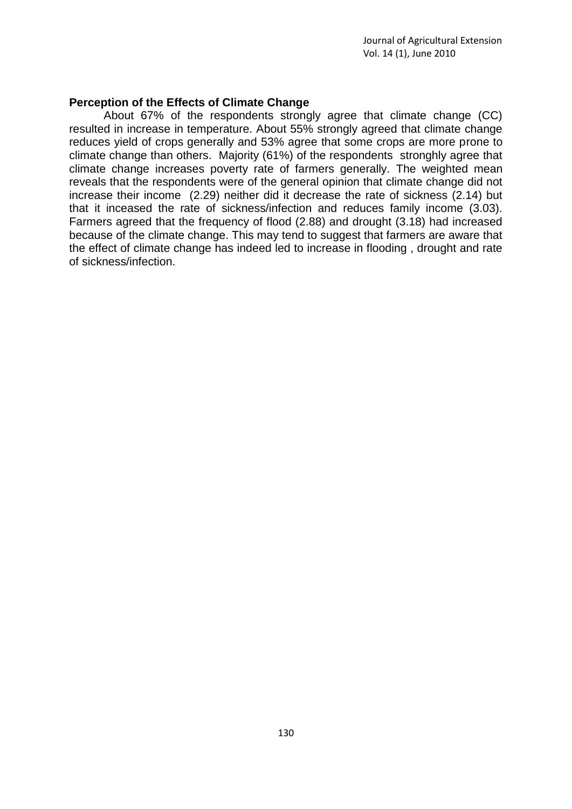### **Perception of the Effects of Climate Change**

About 67% of the respondents strongly agree that climate change (CC) resulted in increase in temperature. About 55% strongly agreed that climate change reduces yield of crops generally and 53% agree that some crops are more prone to climate change than others. Majority (61%) of the respondents stronghly agree that climate change increases poverty rate of farmers generally. The weighted mean reveals that the respondents were of the general opinion that climate change did not increase their income (2.29) neither did it decrease the rate of sickness (2.14) but that it inceased the rate of sickness/infection and reduces family income (3.03). Farmers agreed that the frequency of flood (2.88) and drought (3.18) had increased because of the climate change. This may tend to suggest that farmers are aware that the effect of climate change has indeed led to increase in flooding , drought and rate of sickness/infection.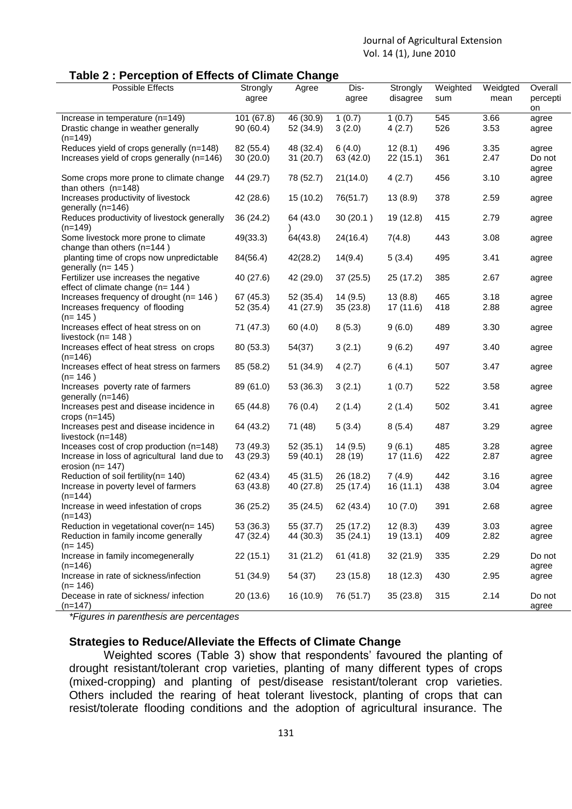#### Journal of Agricultural Extension Vol. 14 (1), June 2010

## **Table 2 : Perception of Effects of Climate Change**

| Possible Effects                                                                                                  | Strongly<br>agree      | Agree                  | Dis-<br>agree          | Strongly<br>disagree | Weighted<br>sum | Weidgted<br>mean | Overall<br>percepti<br>on |
|-------------------------------------------------------------------------------------------------------------------|------------------------|------------------------|------------------------|----------------------|-----------------|------------------|---------------------------|
| Increase in temperature (n=149)<br>Drastic change in weather generally<br>$(n=149)$                               | 101 (67.8)<br>90(60.4) | 46 (30.9)<br>52 (34.9) | 1(0.7)<br>3(2.0)       | 1(0.7)<br>4(2.7)     | 545<br>526      | 3.66<br>3.53     | agree<br>agree            |
| Reduces yield of crops generally (n=148)<br>Increases yield of crops generally (n=146)                            | 82 (55.4)<br>30(20.0)  | 48 (32.4)<br>31(20.7)  | 6(4.0)<br>63 (42.0)    | 12(8.1)<br>22(15.1)  | 496<br>361      | 3.35<br>2.47     | agree<br>Do not           |
| Some crops more prone to climate change<br>than others $(n=148)$                                                  | 44 (29.7)              | 78 (52.7)              | 21(14.0)               | 4(2.7)               | 456             | 3.10             | agree<br>agree            |
| Increases productivity of livestock<br>generally (n=146)                                                          | 42 (28.6)              | 15 (10.2)              | 76(51.7)               | 13(8.9)              | 378             | 2.59             | agree                     |
| Reduces productivity of livestock generally<br>$(n=149)$                                                          | 36 (24.2)              | 64 (43.0               | 30(20.1)               | 19 (12.8)            | 415             | 2.79             | agree                     |
| Some livestock more prone to climate<br>change than others $(n=144)$                                              | 49(33.3)               | 64(43.8)               | 24(16.4)               | 7(4.8)               | 443             | 3.08             | agree                     |
| planting time of crops now unpredictable<br>generally (n= 145)                                                    | 84(56.4)               | 42(28.2)               | 14(9.4)                | 5(3.4)               | 495             | 3.41             | agree                     |
| Fertilizer use increases the negative<br>effect of climate change (n= 144)                                        | 40 (27.6)              | 42 (29.0)              | 37(25.5)               | 25 (17.2)            | 385             | 2.67             | agree                     |
| Increases frequency of drought (n= 146)<br>Increases frequency of flooding                                        | 67(45.3)<br>52 (35.4)  | 52 (35.4)<br>41 (27.9) | 14(9.5)<br>35 (23.8)   | 13(8.8)<br>17(11.6)  | 465<br>418      | 3.18<br>2.88     | agree<br>agree            |
| $(n=145)$<br>Increases effect of heat stress on on<br>livestock (n= 148)                                          | 71 (47.3)              | 60(4.0)                | 8(5.3)                 | 9(6.0)               | 489             | 3.30             | agree                     |
| Increases effect of heat stress on crops<br>$(n=146)$                                                             | 80 (53.3)              | 54(37)                 | 3(2.1)                 | 9(6.2)               | 497             | 3.40             | agree                     |
| Increases effect of heat stress on farmers<br>$(n=146)$                                                           | 85 (58.2)              | 51 (34.9)              | 4(2.7)                 | 6(4.1)               | 507             | 3.47             | agree                     |
| Increases poverty rate of farmers<br>generally (n=146)                                                            | 89 (61.0)              | 53 (36.3)              | 3(2.1)                 | 1(0.7)               | 522             | 3.58             | agree                     |
| Increases pest and disease incidence in<br>crops $(n=145)$                                                        | 65 (44.8)              | 76 (0.4)               | 2(1.4)                 | 2(1.4)               | 502             | 3.41             | agree                     |
| Increases pest and disease incidence in<br>livestock (n=148)                                                      | 64 (43.2)              | 71 (48)                | 5(3.4)                 | 8(5.4)               | 487             | 3.29             | agree                     |
| Inceases cost of crop production (n=148)<br>Increase in loss of agricultural land due to<br>erosion ( $n = 147$ ) | 73 (49.3)<br>43 (29.3) | 52(35.1)<br>59 (40.1)  | 14(9.5)<br>28 (19)     | 9(6.1)<br>17 (11.6)  | 485<br>422      | 3.28<br>2.87     | agree<br>agree            |
| Reduction of soil fertility(n= 140)<br>Increase in poverty level of farmers<br>$(n=144)$                          | 62 (43.4)<br>63 (43.8) | 45 (31.5)<br>40 (27.8) | 26 (18.2)<br>25 (17.4) | 7(4.9)<br>16(11.1)   | 442<br>438      | 3.16<br>3.04     | agree<br>agree            |
| Increase in weed infestation of crops<br>$(n=143)$                                                                | 36 (25.2)              | 35(24.5)               | 62 (43.4)              | 10(7.0)              | 391             | 2.68             | agree                     |
| Reduction in vegetational cover(n= 145)<br>Reduction in family income generally<br>$(n=145)$                      | 53(36.3)<br>47 (32.4)  | 55 (37.7)<br>44 (30.3) | 25 (17.2)<br>35(24.1)  | 12(8.3)<br>19 (13.1) | 439<br>409      | 3.03<br>2.82     | agree<br>agree            |
| Increase in family incomegenerally<br>$(n=146)$                                                                   | 22(15.1)               | 31(21.2)               | 61(41.8)               | 32 (21.9)            | 335             | 2.29             | Do not<br>agree           |
| Increase in rate of sickness/infection<br>$(n=146)$                                                               | 51 (34.9)              | 54 (37)                | 23(15.8)               | 18 (12.3)            | 430             | 2.95             | agree                     |
| Decease in rate of sickness/ infection<br>$(n=147)$                                                               | 20 (13.6)              | 16 (10.9)              | 76 (51.7)              | 35(23.8)             | 315             | 2.14             | Do not<br>agree           |

*\*Figures in parenthesis are percentages*

# **Strategies to Reduce/Alleviate the Effects of Climate Change**

Weighted scores (Table 3) show that respondents' favoured the planting of drought resistant/tolerant crop varieties, planting of many different types of crops (mixed-cropping) and planting of pest/disease resistant/tolerant crop varieties. Others included the rearing of heat tolerant livestock, planting of crops that can resist/tolerate flooding conditions and the adoption of agricultural insurance. The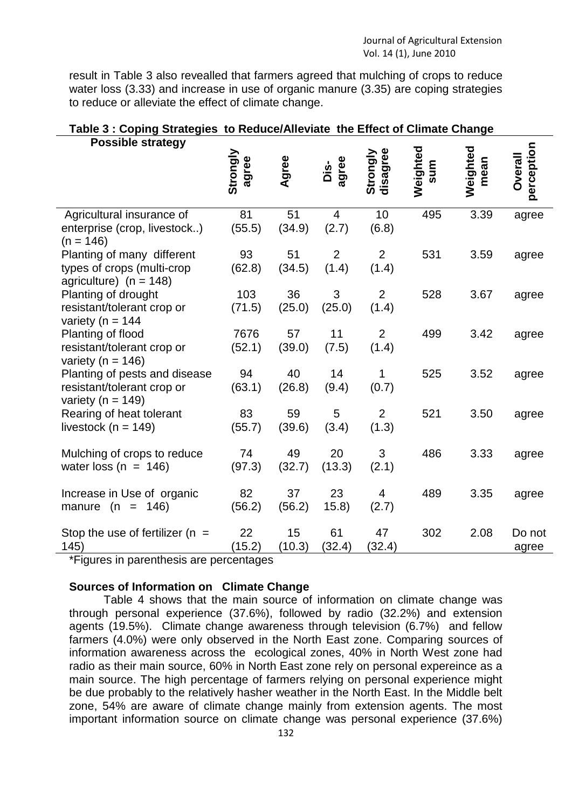result in Table 3 also revealled that farmers agreed that mulching of crops to reduce water loss (3.33) and increase in use of organic manure (3.35) are coping strategies to reduce or alleviate the effect of climate change.

| <b>Possible strategy</b>                                                             |                   |              |                         |                         |                 |                  |                              |
|--------------------------------------------------------------------------------------|-------------------|--------------|-------------------------|-------------------------|-----------------|------------------|------------------------------|
|                                                                                      | Strongly<br>agree | Agree        | agree<br><u>sig</u>     | disagree<br>Strongly    | Weighted<br>sum | Weighted<br>mean | perception<br><b>Overall</b> |
| Agricultural insurance of<br>enterprise (crop, livestock)<br>$(n = 146)$             | 81<br>(55.5)      | 51<br>(34.9) | $\overline{4}$<br>(2.7) | 10<br>(6.8)             | 495             | 3.39             | agree                        |
| Planting of many different<br>types of crops (multi-crop<br>agriculture) $(n = 148)$ | 93<br>(62.8)      | 51<br>(34.5) | $\overline{2}$<br>(1.4) | $\overline{2}$<br>(1.4) | 531             | 3.59             | agree                        |
| Planting of drought<br>resistant/tolerant crop or<br>variety ( $n = 144$             | 103<br>(71.5)     | 36<br>(25.0) | 3<br>(25.0)             | $\overline{2}$<br>(1.4) | 528             | 3.67             | agree                        |
| Planting of flood<br>resistant/tolerant crop or<br>variety ( $n = 146$ )             | 7676<br>(52.1)    | 57<br>(39.0) | 11<br>(7.5)             | $\overline{2}$<br>(1.4) | 499             | 3.42             | agree                        |
| Planting of pests and disease<br>resistant/tolerant crop or<br>variety ( $n = 149$ ) | 94<br>(63.1)      | 40<br>(26.8) | 14<br>(9.4)             | 1<br>(0.7)              | 525             | 3.52             | agree                        |
| Rearing of heat tolerant<br>livestock ( $n = 149$ )                                  | 83<br>(55.7)      | 59<br>(39.6) | 5<br>(3.4)              | $\overline{2}$<br>(1.3) | 521             | 3.50             | agree                        |
| Mulching of crops to reduce<br>water loss ( $n = 146$ )                              | 74<br>(97.3)      | 49<br>(32.7) | 20<br>(13.3)            | 3<br>(2.1)              | 486             | 3.33             | agree                        |
| Increase in Use of organic<br>manure (n = $146$ )                                    | 82<br>(56.2)      | 37<br>(56.2) | 23<br>(15.8)            | 4<br>(2.7)              | 489             | 3.35             | agree                        |
| Stop the use of fertilizer ( $n =$<br>145)                                           | 22<br>(15.2)      | 15<br>(10.3) | 61<br>(32.4)            | 47<br>(32.4)            | 302             | 2.08             | Do not<br>agree              |

| Table 3 : Coping Strategies to Reduce/Alleviate the Effect of Climate Change |  |  |
|------------------------------------------------------------------------------|--|--|
| Dessible stratesur                                                           |  |  |

\*Figures in parenthesis are percentages

### **Sources of Information on Climate Change**

Table 4 shows that the main source of information on climate change was through personal experience (37.6%), followed by radio (32.2%) and extension agents (19.5%). Climate change awareness through television (6.7%) and fellow farmers (4.0%) were only observed in the North East zone. Comparing sources of information awareness across the ecological zones, 40% in North West zone had radio as their main source, 60% in North East zone rely on personal expereince as a main source. The high percentage of farmers relying on personal experience might be due probably to the relatively hasher weather in the North East. In the Middle belt zone, 54% are aware of climate change mainly from extension agents. The most important information source on climate change was personal experience (37.6%)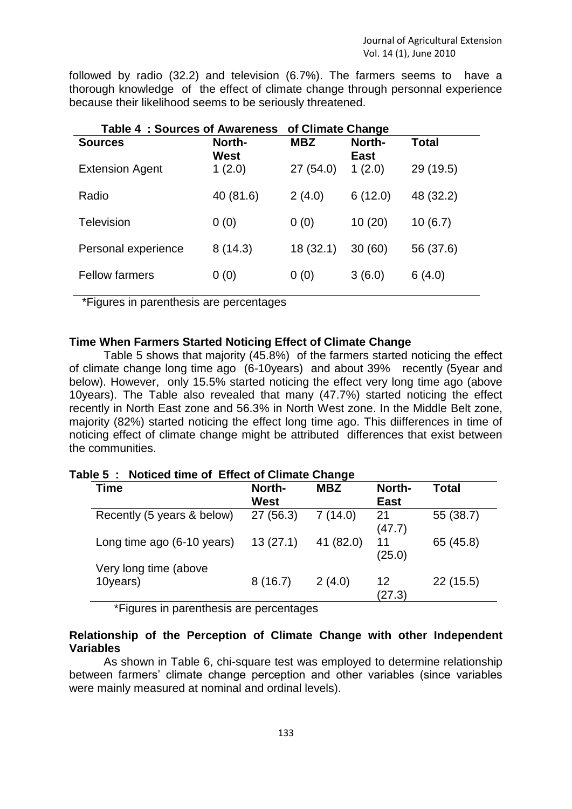followed by radio (32.2) and television (6.7%). The farmers seems to have a thorough knowledge of the effect of climate change through personnal experience because their likelihood seems to be seriously threatened.

| Table 4: Sources of Awareness |                | of Climate Change |                |           |
|-------------------------------|----------------|-------------------|----------------|-----------|
| <b>Sources</b>                | North-<br>West | <b>MBZ</b>        | North-<br>East | Total     |
| <b>Extension Agent</b>        | 1(2.0)         | 27(54.0)          | 1(2.0)         | 29 (19.5) |
| Radio                         | 40 (81.6)      | 2(4.0)            | 6(12.0)        | 48 (32.2) |
| <b>Television</b>             | 0(0)           | 0(0)              | 10(20)         | 10(6.7)   |
| Personal experience           | 8(14.3)        | 18 (32.1)         | 30(60)         | 56 (37.6) |
| <b>Fellow farmers</b>         | (0)<br>0       | 0(0)              | 3(6.0)         | 6(4.0)    |

\*Figures in parenthesis are percentages

### **Time When Farmers Started Noticing Effect of Climate Change**

Table 5 shows that majority (45.8%) of the farmers started noticing the effect of climate change long time ago (6-10years) and about 39% recently (5year and below). However, only 15.5% started noticing the effect very long time ago (above 10years). The Table also revealed that many (47.7%) started noticing the effect recently in North East zone and 56.3% in North West zone. In the Middle Belt zone, majority (82%) started noticing the effect long time ago. This diifferences in time of noticing effect of climate change might be attributed differences that exist between the communities.

| <b>Time</b>                       | North-<br><b>West</b> | <b>MBZ</b> | North-<br><b>East</b> | <b>Total</b> |
|-----------------------------------|-----------------------|------------|-----------------------|--------------|
| Recently (5 years & below)        | 27(56.3)              | 7(14.0)    | 21<br>(47.7)          | 55 (38.7)    |
| Long time ago (6-10 years)        | 13(27.1)              | 41 (82.0)  | 11<br>(25.0)          | 65 (45.8)    |
| Very long time (above<br>10years) | 8(16.7)               | 2(4.0)     | 12<br>(27.3)          | 22(15.5)     |

### **Table 5 : Noticed time of Effect of Climate Change**

\*Figures in parenthesis are percentages

# **Relationship of the Perception of Climate Change with other Independent Variables**

As shown in Table 6, chi-square test was employed to determine relationship between farmers' climate change perception and other variables (since variables were mainly measured at nominal and ordinal levels).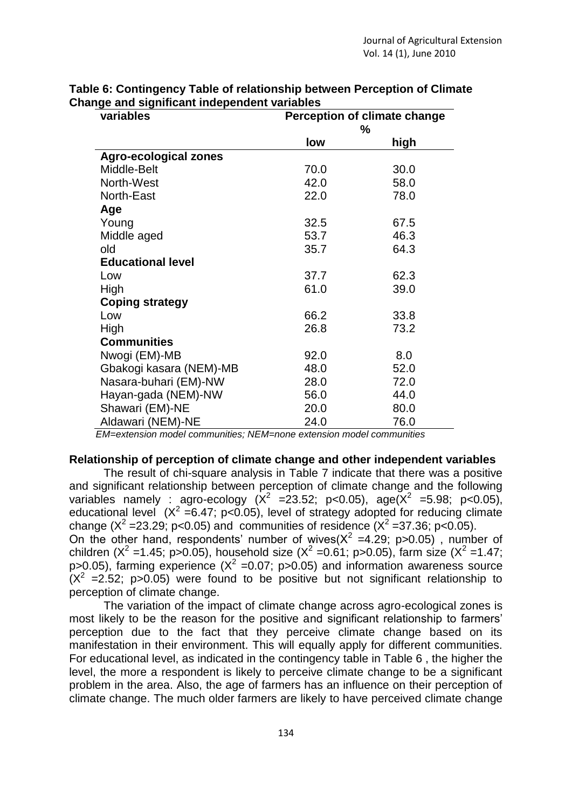| variables                    | Perception of climate change |           |  |
|------------------------------|------------------------------|-----------|--|
|                              | low                          | ℅<br>high |  |
| <b>Agro-ecological zones</b> |                              |           |  |
| Middle-Belt                  | 70.0                         | 30.0      |  |
| North-West                   | 42.0                         | 58.0      |  |
| North-East                   | 22.0                         | 78.0      |  |
| Age                          |                              |           |  |
| Young                        | 32.5                         | 67.5      |  |
| Middle aged                  | 53.7                         | 46.3      |  |
| old                          | 35.7                         | 64.3      |  |
| <b>Educational level</b>     |                              |           |  |
| Low                          | 37.7                         | 62.3      |  |
| High                         | 61.0                         | 39.0      |  |
| <b>Coping strategy</b>       |                              |           |  |
| Low                          | 66.2                         | 33.8      |  |
| High                         | 26.8                         | 73.2      |  |
| <b>Communities</b>           |                              |           |  |
| Nwogi (EM)-MB                | 92.0                         | 8.0       |  |
| Gbakogi kasara (NEM)-MB      | 48.0                         | 52.0      |  |
| Nasara-buhari (EM)-NW        | 28.0                         | 72.0      |  |
| Hayan-gada (NEM)-NW          | 56.0                         | 44.0      |  |
| Shawari (EM)-NE              | 20.0                         | 80.0      |  |
| Aldawari (NEM)-NE            | 24.0                         | 76.0      |  |

## **Table 6: Contingency Table of relationship between Perception of Climate Change and significant independent variables**

 *EM=extension model communities; NEM=none extension model communities*

perception of climate change.

### **Relationship of perception of climate change and other independent variables**

The result of chi-square analysis in Table 7 indicate that there was a positive and significant relationship between perception of climate change and the following variables namely : agro-ecology ( $X^2 = 23.52$ ; p<0.05), age( $X^2 = 5.98$ ; p<0.05), educational level  $(X^2 = 6.47; p < 0.05)$ , level of strategy adopted for reducing climate change ( $X^2 = 23.29$ ; p<0.05) and communities of residence ( $X^2 = 37.36$ ; p<0.05). On the other hand, respondents' number of wives( $X^2 = 4.29$ ; p>0.05), number of children ( $X^2$  =1.45; p>0.05), household size ( $X^2$  =0.61; p>0.05), farm size ( $X^2$  =1.47; p>0.05), farming experience ( $X^2$  =0.07; p>0.05) and information awareness source  $(X^2 = 2.52; p > 0.05)$  were found to be positive but not significant relationship to

The variation of the impact of climate change across agro-ecological zones is most likely to be the reason for the positive and significant relationship to farmers' perception due to the fact that they perceive climate change based on its manifestation in their environment. This will equally apply for different communities. For educational level, as indicated in the contingency table in Table 6 , the higher the level, the more a respondent is likely to perceive climate change to be a significant problem in the area. Also, the age of farmers has an influence on their perception of climate change. The much older farmers are likely to have perceived climate change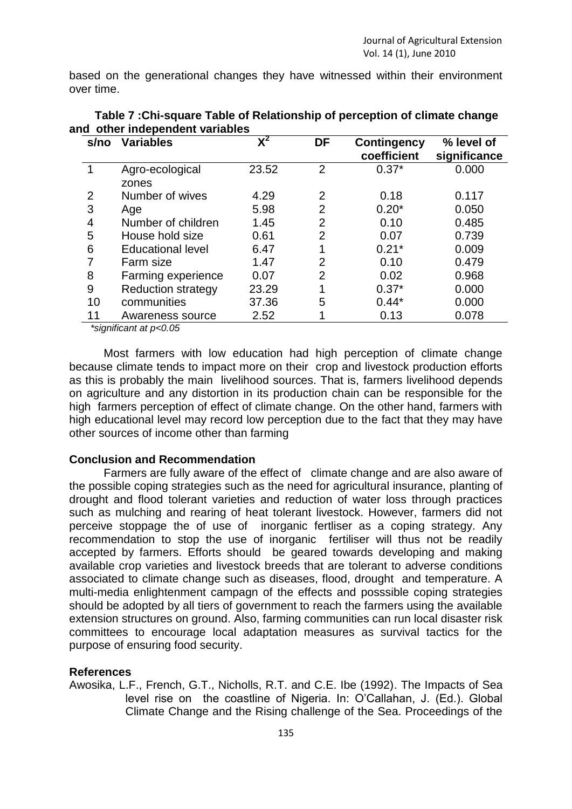based on the generational changes they have witnessed within their environment over time.

| s/no | <b>Variables</b>          | $\mathsf{X}^2$ | DF             | <b>Contingency</b><br>coefficient | % level of<br>significance |
|------|---------------------------|----------------|----------------|-----------------------------------|----------------------------|
| 1    | Agro-ecological<br>zones  | 23.52          | $\overline{2}$ | $0.37*$                           | 0.000                      |
| 2    | Number of wives           | 4.29           | 2              | 0.18                              | 0.117                      |
| 3    | Age                       | 5.98           | $\overline{2}$ | $0.20*$                           | 0.050                      |
| 4    | Number of children        | 1.45           | $\overline{2}$ | 0.10                              | 0.485                      |
| 5    | House hold size           | 0.61           | $\overline{2}$ | 0.07                              | 0.739                      |
| 6    | <b>Educational level</b>  | 6.47           | 1              | $0.21*$                           | 0.009                      |
| 7    | Farm size                 | 1.47           | $\overline{2}$ | 0.10                              | 0.479                      |
| 8    | Farming experience        | 0.07           | 2              | 0.02                              | 0.968                      |
| 9    | <b>Reduction strategy</b> | 23.29          | 1              | $0.37*$                           | 0.000                      |
| 10   | communities               | 37.36          | 5              | $0.44*$                           | 0.000                      |
| 11   | Awareness source          | 2.52           | ◢              | 0.13                              | 0.078                      |
|      | *significant at p<0.05    |                |                |                                   |                            |

| Table 7: Chi-square Table of Relationship of perception of climate change |  |
|---------------------------------------------------------------------------|--|
| and other independent variables                                           |  |

Most farmers with low education had high perception of climate change because climate tends to impact more on their crop and livestock production efforts as this is probably the main livelihood sources. That is, farmers livelihood depends on agriculture and any distortion in its production chain can be responsible for the high farmers perception of effect of climate change. On the other hand, farmers with high educational level may record low perception due to the fact that they may have other sources of income other than farming

### **Conclusion and Recommendation**

Farmers are fully aware of the effect of climate change and are also aware of the possible coping strategies such as the need for agricultural insurance, planting of drought and flood tolerant varieties and reduction of water loss through practices such as mulching and rearing of heat tolerant livestock. However, farmers did not perceive stoppage the of use of inorganic fertliser as a coping strategy. Any recommendation to stop the use of inorganic fertiliser will thus not be readily accepted by farmers. Efforts should be geared towards developing and making available crop varieties and livestock breeds that are tolerant to adverse conditions associated to climate change such as diseases, flood, drought and temperature. A multi-media enlightenment campagn of the effects and posssible coping strategies should be adopted by all tiers of government to reach the farmers using the available extension structures on ground. Also, farming communities can run local disaster risk committees to encourage local adaptation measures as survival tactics for the purpose of ensuring food security.

# **References**

Awosika, L.F., French, G.T., Nicholls, R.T. and C.E. Ibe (1992). The Impacts of Sea level rise on the coastline of Nigeria. In: O'Callahan, J. (Ed.). Global Climate Change and the Rising challenge of the Sea. Proceedings of the